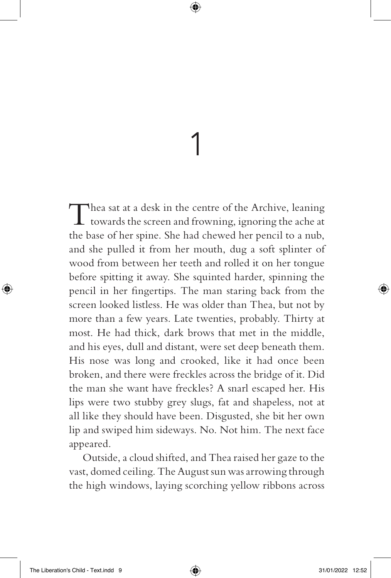## 1

Thea sat at a desk in the centre of the Archive, leaning<br>towards the screen and frowning, ignoring the ache at the base of her spine. She had chewed her pencil to a nub, and she pulled it from her mouth, dug a soft splinter of wood from between her teeth and rolled it on her tongue before spitting it away. She squinted harder, spinning the pencil in her fingertips. The man staring back from the screen looked listless. He was older than Thea, but not by more than a few years. Late twenties, probably. Thirty at most. He had thick, dark brows that met in the middle, and his eyes, dull and distant, were set deep beneath them. His nose was long and crooked, like it had once been broken, and there were freckles across the bridge of it. Did the man she want have freckles? A snarl escaped her. His lips were two stubby grey slugs, fat and shapeless, not at all like they should have been. Disgusted, she bit her own lip and swiped him sideways. No. Not him. The next face appeared.

Outside, a cloud shifted, and Thea raised her gaze to the vast, domed ceiling. The August sun was arrowing through the high windows, laying scorching yellow ribbons across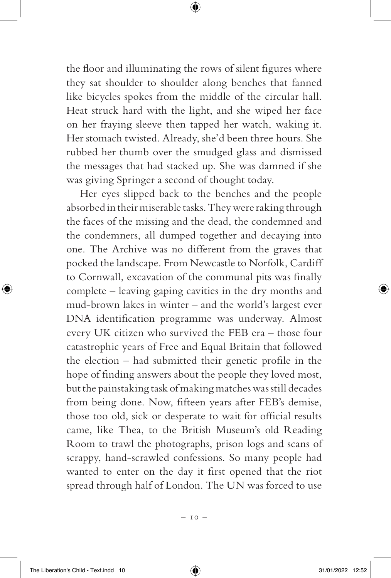the floor and illuminating the rows of silent figures where they sat shoulder to shoulder along benches that fanned like bicycles spokes from the middle of the circular hall. Heat struck hard with the light, and she wiped her face on her fraying sleeve then tapped her watch, waking it. Her stomach twisted. Already, she'd been three hours. She rubbed her thumb over the smudged glass and dismissed the messages that had stacked up. She was damned if she was giving Springer a second of thought today.

Her eyes slipped back to the benches and the people absorbed in their miserable tasks. They were raking through the faces of the missing and the dead, the condemned and the condemners, all dumped together and decaying into one. The Archive was no different from the graves that pocked the landscape. From Newcastle to Norfolk, Cardiff to Cornwall, excavation of the communal pits was finally complete – leaving gaping cavities in the dry months and mud-brown lakes in winter – and the world's largest ever DNA identification programme was underway. Almost every UK citizen who survived the FEB era – those four catastrophic years of Free and Equal Britain that followed the election – had submitted their genetic profile in the hope of finding answers about the people they loved most, but the painstaking task of making matches was still decades from being done. Now, fifteen years after FEB's demise, those too old, sick or desperate to wait for official results came, like Thea, to the British Museum's old Reading Room to trawl the photographs, prison logs and scans of scrappy, hand-scrawled confessions. So many people had wanted to enter on the day it first opened that the riot spread through half of London. The UN was forced to use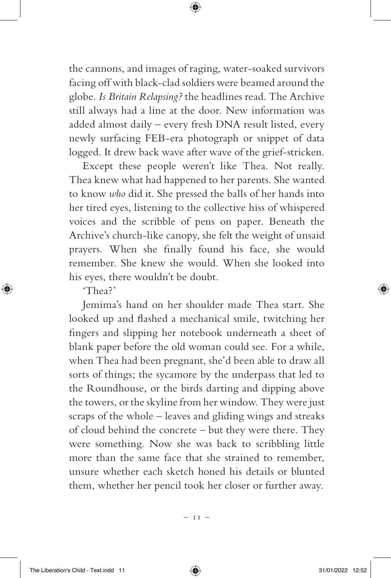the cannons, and images of raging, water-soaked survivors facing off with black-clad soldiers were beamed around the globe. *Is Britain Relapsing?* the headlines read. The Archive still always had a line at the door. New information was added almost daily – every fresh DNA result listed, every newly surfacing FEB-era photograph or snippet of data logged. It drew back wave after wave of the grief-stricken.

Except these people weren't like Thea. Not really. Thea knew what had happened to her parents. She wanted to know *who* did it. She pressed the balls of her hands into her tired eyes, listening to the collective hiss of whispered voices and the scribble of pens on paper. Beneath the Archive's church-like canopy, she felt the weight of unsaid prayers. When she finally found his face, she would remember. She knew she would. When she looked into his eyes, there wouldn't be doubt.

'Thea?'

Jemima's hand on her shoulder made Thea start. She looked up and flashed a mechanical smile, twitching her fingers and slipping her notebook underneath a sheet of blank paper before the old woman could see. For a while, when Thea had been pregnant, she'd been able to draw all sorts of things; the sycamore by the underpass that led to the Roundhouse, or the birds darting and dipping above the towers, or the skyline from her window. They were just scraps of the whole – leaves and gliding wings and streaks of cloud behind the concrete – but they were there. They were something. Now she was back to scribbling little more than the same face that she strained to remember, unsure whether each sketch honed his details or blunted them, whether her pencil took her closer or further away.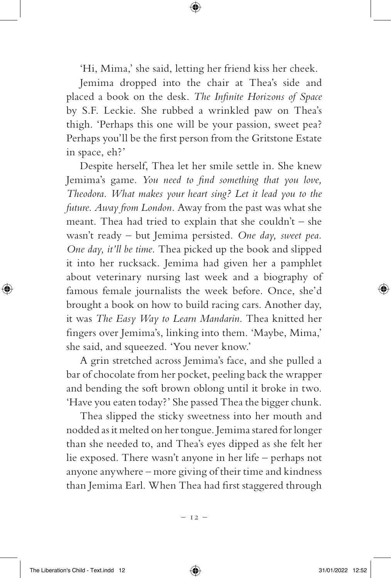'Hi, Mima,' she said, letting her friend kiss her cheek.

Jemima dropped into the chair at Thea's side and placed a book on the desk. *The Infinite Horizons of Space* by S.F. Leckie. She rubbed a wrinkled paw on Thea's thigh. 'Perhaps this one will be your passion, sweet pea? Perhaps you'll be the first person from the Gritstone Estate in space, eh?'

Despite herself, Thea let her smile settle in. She knew Jemima's game. *You need to find something that you love, Theodora. What makes your heart sing? Let it lead you to the future. Away from London.* Away from the past was what she meant. Thea had tried to explain that she couldn't – she wasn't ready – but Jemima persisted. *One day, sweet pea. One day, it'll be time.* Thea picked up the book and slipped it into her rucksack. Jemima had given her a pamphlet about veterinary nursing last week and a biography of famous female journalists the week before. Once, she'd brought a book on how to build racing cars. Another day, it was *The Easy Way to Learn Mandarin*. Thea knitted her fingers over Jemima's, linking into them. 'Maybe, Mima,' she said, and squeezed. 'You never know.'

A grin stretched across Jemima's face, and she pulled a bar of chocolate from her pocket, peeling back the wrapper and bending the soft brown oblong until it broke in two. 'Have you eaten today?' She passed Thea the bigger chunk.

Thea slipped the sticky sweetness into her mouth and nodded as it melted on her tongue. Jemima stared for longer than she needed to, and Thea's eyes dipped as she felt her lie exposed. There wasn't anyone in her life – perhaps not anyone anywhere – more giving of their time and kindness than Jemima Earl. When Thea had first staggered through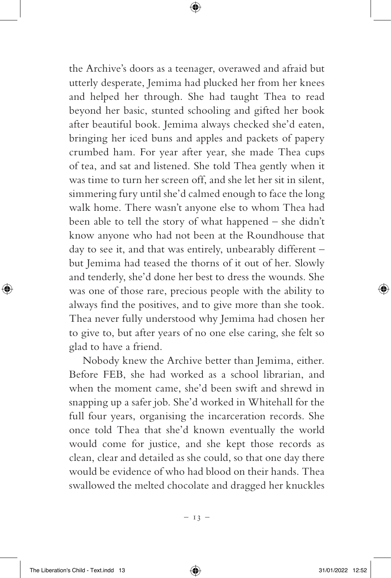the Archive's doors as a teenager, overawed and afraid but utterly desperate, Jemima had plucked her from her knees and helped her through. She had taught Thea to read beyond her basic, stunted schooling and gifted her book after beautiful book. Jemima always checked she'd eaten, bringing her iced buns and apples and packets of papery crumbed ham. For year after year, she made Thea cups of tea, and sat and listened. She told Thea gently when it was time to turn her screen off, and she let her sit in silent, simmering fury until she'd calmed enough to face the long walk home. There wasn't anyone else to whom Thea had been able to tell the story of what happened – she didn't know anyone who had not been at the Roundhouse that day to see it, and that was entirely, unbearably different – but Jemima had teased the thorns of it out of her. Slowly and tenderly, she'd done her best to dress the wounds. She was one of those rare, precious people with the ability to always find the positives, and to give more than she took. Thea never fully understood why Jemima had chosen her to give to, but after years of no one else caring, she felt so glad to have a friend.

Nobody knew the Archive better than Jemima, either. Before FEB, she had worked as a school librarian, and when the moment came, she'd been swift and shrewd in snapping up a safer job. She'd worked in Whitehall for the full four years, organising the incarceration records. She once told Thea that she'd known eventually the world would come for justice, and she kept those records as clean, clear and detailed as she could, so that one day there would be evidence of who had blood on their hands. Thea swallowed the melted chocolate and dragged her knuckles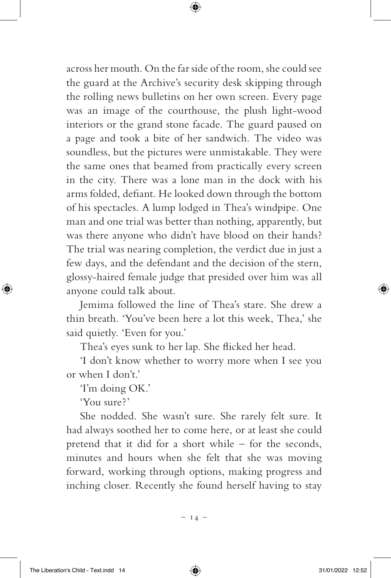across her mouth. On the far side of the room, she could see the guard at the Archive's security desk skipping through the rolling news bulletins on her own screen. Every page was an image of the courthouse, the plush light-wood interiors or the grand stone facade. The guard paused on a page and took a bite of her sandwich. The video was soundless, but the pictures were unmistakable. They were the same ones that beamed from practically every screen in the city. There was a lone man in the dock with his arms folded, defiant. He looked down through the bottom of his spectacles. A lump lodged in Thea's windpipe. One man and one trial was better than nothing, apparently, but was there anyone who didn't have blood on their hands? The trial was nearing completion, the verdict due in just a few days, and the defendant and the decision of the stern, glossy-haired female judge that presided over him was all anyone could talk about.

Jemima followed the line of Thea's stare. She drew a thin breath. 'You've been here a lot this week, Thea,' she said quietly. 'Even for you.'

Thea's eyes sunk to her lap. She flicked her head.

'I don't know whether to worry more when I see you or when I don't.'

'I'm doing OK.'

'You sure?'

She nodded. She wasn't sure. She rarely felt sure. It had always soothed her to come here, or at least she could pretend that it did for a short while – for the seconds, minutes and hours when she felt that she was moving forward, working through options, making progress and inching closer. Recently she found herself having to stay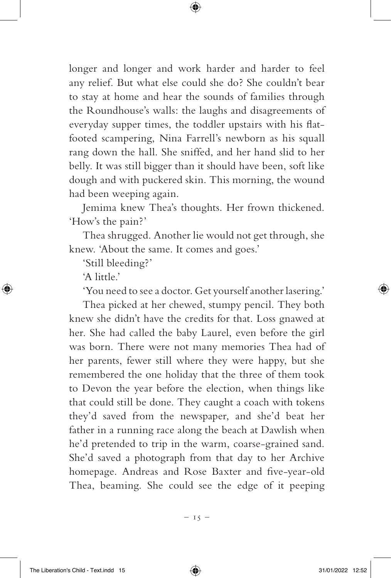longer and longer and work harder and harder to feel any relief. But what else could she do? She couldn't bear to stay at home and hear the sounds of families through the Roundhouse's walls: the laughs and disagreements of everyday supper times, the toddler upstairs with his flatfooted scampering, Nina Farrell's newborn as his squall rang down the hall. She sniffed, and her hand slid to her belly. It was still bigger than it should have been, soft like dough and with puckered skin. This morning, the wound had been weeping again.

Jemima knew Thea's thoughts. Her frown thickened. 'How's the pain?'

Thea shrugged. Another lie would not get through, she knew. 'About the same. It comes and goes.'

'Still bleeding?'

'A little'

'You need to see a doctor. Get yourself another lasering.'

Thea picked at her chewed, stumpy pencil. They both knew she didn't have the credits for that. Loss gnawed at her. She had called the baby Laurel, even before the girl was born. There were not many memories Thea had of her parents, fewer still where they were happy, but she remembered the one holiday that the three of them took to Devon the year before the election, when things like that could still be done. They caught a coach with tokens they'd saved from the newspaper, and she'd beat her father in a running race along the beach at Dawlish when he'd pretended to trip in the warm, coarse-grained sand. She'd saved a photograph from that day to her Archive homepage. Andreas and Rose Baxter and five-year-old Thea, beaming. She could see the edge of it peeping